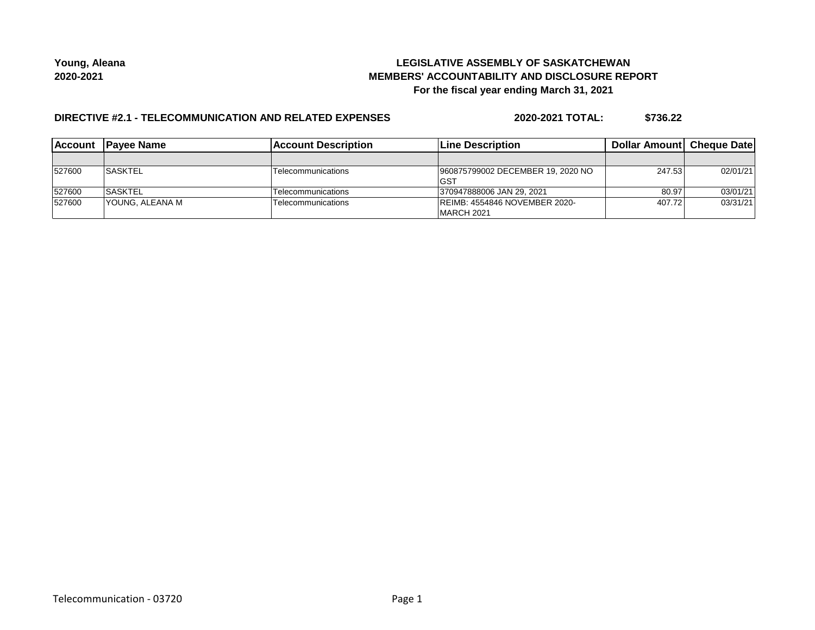## **LEGISLATIVE ASSEMBLY OF SASKATCHEWAN MEMBERS' ACCOUNTABILITY AND DISCLOSURE REPORT For the fiscal year ending March 31, 2021**

## **DIRECTIVE #2.1 - TELECOMMUNICATION AND RELATED EXPENSES**

**2020-2021 TOTAL: \$736.22**

| <b>Account</b> | <b>IPavee Name</b> | <b>Account Description</b> | <b>Line Description</b>                             | <b>Dollar Amountl Cheque Date</b> |          |
|----------------|--------------------|----------------------------|-----------------------------------------------------|-----------------------------------|----------|
|                |                    |                            |                                                     |                                   |          |
| 527600         | ISASKTEL           | Telecommunications         | 960875799002 DECEMBER 19, 2020 NO<br> GST           | 247.53                            | 02/01/21 |
| 527600         | ISASKTEL           | Telecommunications         | 370947888006 JAN 29. 2021                           | 80.97                             | 03/01/21 |
| 527600         | IYOUNG. ALEANA M   | Telecommunications         | <b>IREIMB: 4554846 NOVEMBER 2020-</b><br>MARCH 2021 | 407.72                            | 03/31/21 |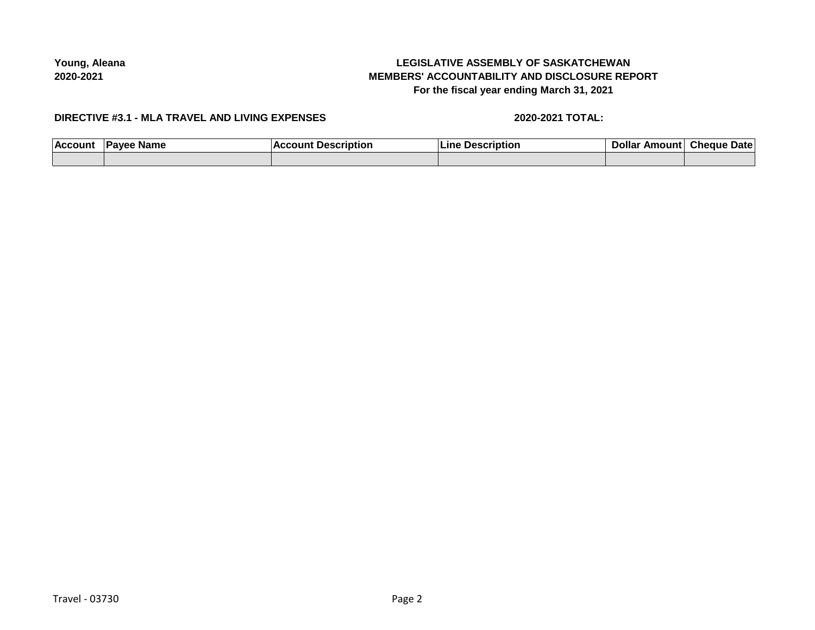# **LEGISLATIVE ASSEMBLY OF SASKATCHEWAN MEMBERS' ACCOUNTABILITY AND DISCLOSURE REPORT For the fiscal year ending March 31, 2021**

### **DIRECTIVE #3.1 - MLA TRAVEL AND LIVING EXPENSES**

## **2020-2021 TOTAL:**

| ACCO <sub>1</sub> | <b>Name</b> | . | . | иатс |
|-------------------|-------------|---|---|------|
|                   |             |   |   |      |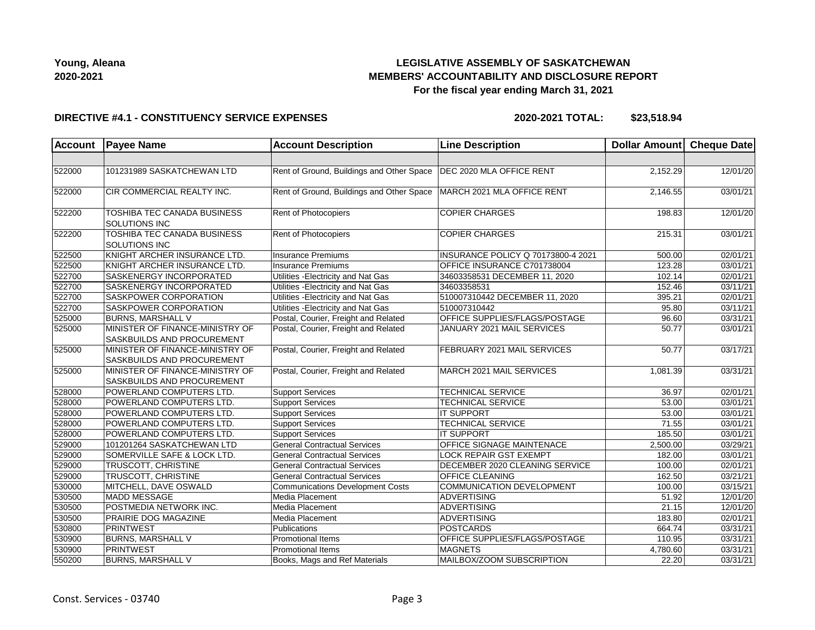

## **LEGISLATIVE ASSEMBLY OF SASKATCHEWAN MEMBERS' ACCOUNTABILITY AND DISCLOSURE REPORT For the fiscal year ending March 31, 2021**

#### **DIRECTIVE #4.1 - CONSTITUENCY SERVICE EXPENSES**

**2020-2021 TOTAL: \$23,518.94**

| <b>Account</b> | <b>Payee Name</b>                                             | <b>Account Description</b>                                             | <b>Line Description</b>            | Dollar Amount Cheque Date |                       |
|----------------|---------------------------------------------------------------|------------------------------------------------------------------------|------------------------------------|---------------------------|-----------------------|
|                |                                                               |                                                                        |                                    |                           |                       |
| 522000         | 101231989 SASKATCHEWAN LTD                                    | Rent of Ground, Buildings and Other Space   DEC 2020 MLA OFFICE RENT   |                                    | 2,152.29                  | 12/01/20              |
| 522000         | CIR COMMERCIAL REALTY INC.                                    | Rent of Ground, Buildings and Other Space   MARCH 2021 MLA OFFICE RENT |                                    | 2,146.55                  | 03/01/21              |
| 522200         | TOSHIBA TEC CANADA BUSINESS<br><b>SOLUTIONS INC</b>           | Rent of Photocopiers                                                   | <b>COPIER CHARGES</b>              | 198.83                    | 12/01/20              |
| 522200         | TOSHIBA TEC CANADA BUSINESS<br>SOLUTIONS INC                  | Rent of Photocopiers                                                   | <b>COPIER CHARGES</b>              | 215.31                    | 03/01/21              |
| 522500         | KNIGHT ARCHER INSURANCE LTD.                                  | <b>Insurance Premiums</b>                                              | INSURANCE POLICY Q 70173800-4 2021 | 500.00                    | $\overline{02/0}1/21$ |
| 522500         | KNIGHT ARCHER INSURANCE LTD.                                  | <b>Insurance Premiums</b>                                              | OFFICE INSURANCE C701738004        | 123.28                    | 03/01/21              |
| 522700         | SASKENERGY INCORPORATED                                       | Utilities - Electricity and Nat Gas                                    | 34603358531 DECEMBER 11, 2020      | 102.14                    | 02/01/21              |
| 522700         | SASKENERGY INCORPORATED                                       | Utilities - Electricity and Nat Gas                                    | 34603358531                        | 152.46                    | 03/11/21              |
| 522700         | SASKPOWER CORPORATION                                         | Utilities - Electricity and Nat Gas                                    | 510007310442 DECEMBER 11, 2020     | 395.21                    | 02/01/21              |
| 522700         | SASKPOWER CORPORATION                                         | Utilities - Electricity and Nat Gas                                    | 510007310442                       | 95.80                     | 03/11/21              |
| 525000         | <b>BURNS, MARSHALL V</b>                                      | Postal, Courier, Freight and Related                                   | OFFICE SUPPLIES/FLAGS/POSTAGE      | 96.60                     | 03/31/21              |
| 525000         | MINISTER OF FINANCE-MINISTRY OF<br>SASKBUILDS AND PROCUREMENT | Postal, Courier, Freight and Related                                   | JANUARY 2021 MAIL SERVICES         | 50.77                     | 03/01/21              |
| 525000         | MINISTER OF FINANCE-MINISTRY OF<br>SASKBUILDS AND PROCUREMENT | Postal, Courier, Freight and Related                                   | FEBRUARY 2021 MAIL SERVICES        | 50.77                     | 03/17/21              |
| 525000         | MINISTER OF FINANCE-MINISTRY OF<br>SASKBUILDS AND PROCUREMENT | Postal, Courier, Freight and Related                                   | MARCH 2021 MAIL SERVICES           | 1,081.39                  | 03/31/21              |
| 528000         | POWERLAND COMPUTERS LTD.                                      | <b>Support Services</b>                                                | <b>TECHNICAL SERVICE</b>           | 36.97                     | 02/01/21              |
| 528000         | POWERLAND COMPUTERS LTD.                                      | <b>Support Services</b>                                                | <b>TECHNICAL SERVICE</b>           | 53.00                     | 03/01/21              |
| 528000         | POWERLAND COMPUTERS LTD.                                      | <b>Support Services</b>                                                | <b>IT SUPPORT</b>                  | 53.00                     | 03/01/21              |
| 528000         | POWERLAND COMPUTERS LTD.                                      | <b>Support Services</b>                                                | <b>TECHNICAL SERVICE</b>           | 71.55                     | 03/01/21              |
| 528000         | POWERLAND COMPUTERS LTD.                                      | <b>Support Services</b>                                                | <b>IT SUPPORT</b>                  | 185.50                    | 03/01/21              |
| 529000         | 101201264 SASKATCHEWAN LTD                                    | <b>General Contractual Services</b>                                    | <b>OFFICE SIGNAGE MAINTENACE</b>   | 2,500.00                  | 03/29/21              |
| 529000         | SOMERVILLE SAFE & LOCK LTD.                                   | <b>General Contractual Services</b>                                    | <b>LOCK REPAIR GST EXEMPT</b>      | 182.00                    | 03/01/21              |
| 529000         | TRUSCOTT, CHRISTINE                                           | <b>General Contractual Services</b>                                    | DECEMBER 2020 CLEANING SERVICE     | 100.00                    | 02/01/21              |
| 529000         | TRUSCOTT, CHRISTINE                                           | <b>General Contractual Services</b>                                    | OFFICE CLEANING                    | 162.50                    | 03/21/21              |
| 530000         | MITCHELL, DAVE OSWALD                                         | <b>Communications Development Costs</b>                                | COMMUNICATION DEVELOPMENT          | 100.00                    | 03/15/21              |
| 530500         | MADD MESSAGE                                                  | Media Placement                                                        | <b>ADVERTISING</b>                 | 51.92                     | 12/01/20              |
| 530500         | POSTMEDIA NETWORK INC.                                        | Media Placement                                                        | ADVERTISING                        | 21.15                     | 12/01/20              |
| 530500         | <b>PRAIRIE DOG MAGAZINE</b>                                   | Media Placement                                                        | <b>ADVERTISING</b>                 | 183.80                    | 02/01/21              |
| 530800         | <b>PRINTWEST</b>                                              | Publications                                                           | <b>POSTCARDS</b>                   | 664.74                    | 03/31/21              |
| 530900         | <b>BURNS, MARSHALL V</b>                                      | <b>Promotional Items</b>                                               | OFFICE SUPPLIES/FLAGS/POSTAGE      | 110.95                    | 03/31/21              |
| 530900         | <b>PRINTWEST</b>                                              | <b>Promotional Items</b>                                               | <b>MAGNETS</b>                     | 4,780.60                  | 03/31/21              |
| 550200         | <b>BURNS, MARSHALL V</b>                                      | Books, Mags and Ref Materials                                          | MAILBOX/ZOOM SUBSCRIPTION          | 22.20                     | 03/31/21              |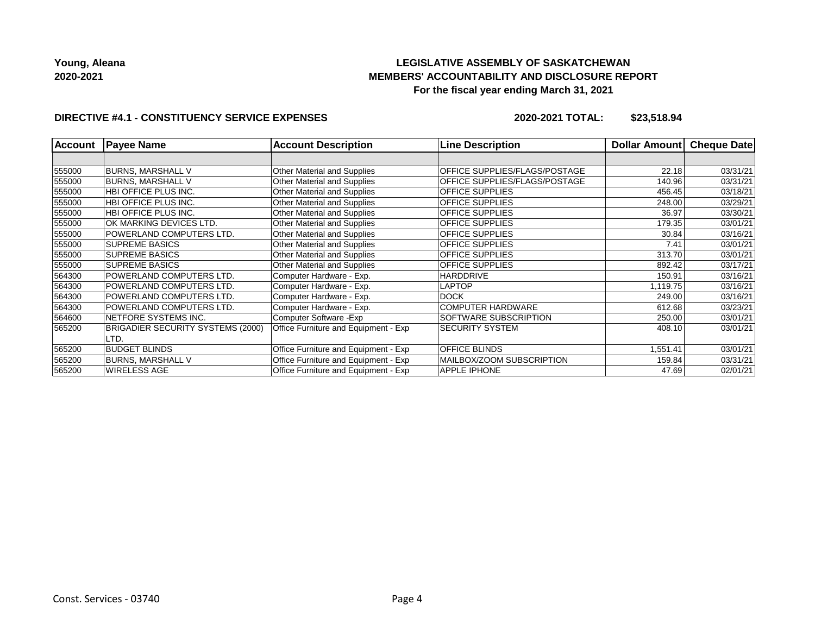# **LEGISLATIVE ASSEMBLY OF SASKATCHEWAN MEMBERS' ACCOUNTABILITY AND DISCLOSURE REPORT For the fiscal year ending March 31, 2021**

### **DIRECTIVE #4.1 - CONSTITUENCY SERVICE EXPENSES**

**2020-2021 TOTAL: \$23,518.94**

| <b>Account</b> | <b>Payee Name</b>                 | <b>Account Description</b>           | <b>Line Description</b>       | <b>Dollar Amountl</b> | <b>Cheque Date</b> |
|----------------|-----------------------------------|--------------------------------------|-------------------------------|-----------------------|--------------------|
|                |                                   |                                      |                               |                       |                    |
| 555000         | <b>BURNS, MARSHALL V</b>          | Other Material and Supplies          | OFFICE SUPPLIES/FLAGS/POSTAGE | 22.18                 | 03/31/21           |
| 555000         | <b>BURNS, MARSHALL V</b>          | Other Material and Supplies          | OFFICE SUPPLIES/FLAGS/POSTAGE | 140.96                | 03/31/21           |
| 555000         | HBI OFFICE PLUS INC.              | Other Material and Supplies          | <b>OFFICE SUPPLIES</b>        | 456.45                | 03/18/21           |
| 555000         | <b>HBI OFFICE PLUS INC.</b>       | Other Material and Supplies          | <b>OFFICE SUPPLIES</b>        | 248.00                | 03/29/21           |
| 555000         | <b>HBI OFFICE PLUS INC.</b>       | Other Material and Supplies          | <b>OFFICE SUPPLIES</b>        | 36.97                 | 03/30/21           |
| 555000         | OK MARKING DEVICES LTD.           | Other Material and Supplies          | <b>OFFICE SUPPLIES</b>        | 179.35                | 03/01/21           |
| 555000         | POWERLAND COMPUTERS LTD.          | Other Material and Supplies          | <b>OFFICE SUPPLIES</b>        | 30.84                 | 03/16/21           |
| 555000         | <b>SUPREME BASICS</b>             | Other Material and Supplies          | <b>OFFICE SUPPLIES</b>        | 7.41                  | 03/01/21           |
| 555000         | <b>SUPREME BASICS</b>             | Other Material and Supplies          | <b>OFFICE SUPPLIES</b>        | 313.70                | 03/01/21           |
| 555000         | <b>SUPREME BASICS</b>             | Other Material and Supplies          | <b>OFFICE SUPPLIES</b>        | 892.42                | 03/17/21           |
| 564300         | POWERLAND COMPUTERS LTD.          | Computer Hardware - Exp.             | <b>HARDDRIVE</b>              | 150.91                | 03/16/21           |
| 564300         | POWERLAND COMPUTERS LTD.          | Computer Hardware - Exp.             | LAPTOP                        | 1,119.75              | 03/16/21           |
| 564300         | POWERLAND COMPUTERS LTD.          | Computer Hardware - Exp.             | <b>DOCK</b>                   | 249.00                | 03/16/21           |
| 564300         | POWERLAND COMPUTERS LTD.          | Computer Hardware - Exp.             | <b>COMPUTER HARDWARE</b>      | 612.68                | 03/23/21           |
| 564600         | NETFORE SYSTEMS INC.              | Computer Software - Exp              | SOFTWARE SUBSCRIPTION         | 250.00                | 03/01/21           |
| 565200         | BRIGADIER SECURITY SYSTEMS (2000) | Office Furniture and Equipment - Exp | <b>SECURITY SYSTEM</b>        | 408.10                | 03/01/21           |
|                | LTD.                              |                                      |                               |                       |                    |
| 565200         | <b>BUDGET BLINDS</b>              | Office Furniture and Equipment - Exp | <b>OFFICE BLINDS</b>          | 1,551.41              | 03/01/21           |
| 565200         | <b>BURNS, MARSHALL V</b>          | Office Furniture and Equipment - Exp | MAILBOX/ZOOM SUBSCRIPTION     | 159.84                | 03/31/21           |
| 565200         | <b>WIRELESS AGE</b>               | Office Furniture and Equipment - Exp | <b>APPLE IPHONE</b>           | 47.69                 | 02/01/21           |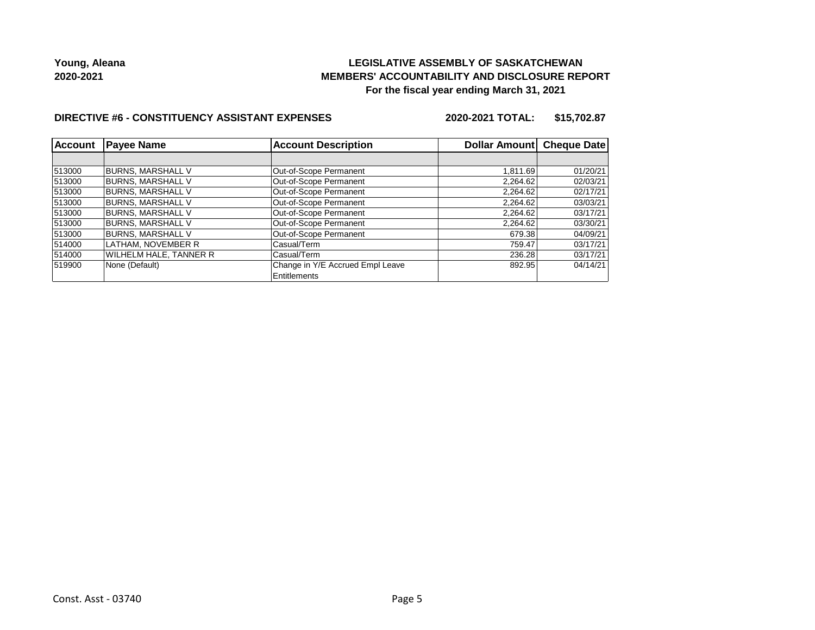## **LEGISLATIVE ASSEMBLY OF SASKATCHEWAN MEMBERS' ACCOUNTABILITY AND DISCLOSURE REPORT For the fiscal year ending March 31, 2021**

#### **DIRECTIVE #6 - CONSTITUENCY ASSISTANT EXPENSES**

**2020-2021 TOTAL: \$15,702.87**

| Account | <b>Payee Name</b>             | <b>Account Description</b>       | Dollar Amount Cheque Date |          |
|---------|-------------------------------|----------------------------------|---------------------------|----------|
|         |                               |                                  |                           |          |
| 513000  | <b>BURNS, MARSHALL V</b>      | Out-of-Scope Permanent           | 1.811.69                  | 01/20/21 |
| 513000  | <b>BURNS, MARSHALL V</b>      | Out-of-Scope Permanent           | 2,264.62                  | 02/03/21 |
| 513000  | <b>BURNS, MARSHALL V</b>      | Out-of-Scope Permanent           | 2,264.62                  | 02/17/21 |
| 513000  | <b>BURNS, MARSHALL V</b>      | Out-of-Scope Permanent           | 2,264.62                  | 03/03/21 |
| 513000  | <b>BURNS, MARSHALL V</b>      | Out-of-Scope Permanent           | 2,264.62                  | 03/17/21 |
| 513000  | <b>BURNS, MARSHALL V</b>      | Out-of-Scope Permanent           | 2,264.62                  | 03/30/21 |
| 513000  | <b>BURNS, MARSHALL V</b>      | Out-of-Scope Permanent           | 679.38                    | 04/09/21 |
| 514000  | LATHAM, NOVEMBER R            | Casual/Term                      | 759.47                    | 03/17/21 |
| 514000  | <b>WILHELM HALE, TANNER R</b> | Casual/Term                      | 236.28                    | 03/17/21 |
| 519900  | None (Default)                | Change in Y/E Accrued Empl Leave | 892.95                    | 04/14/21 |
|         |                               | Entitlements                     |                           |          |